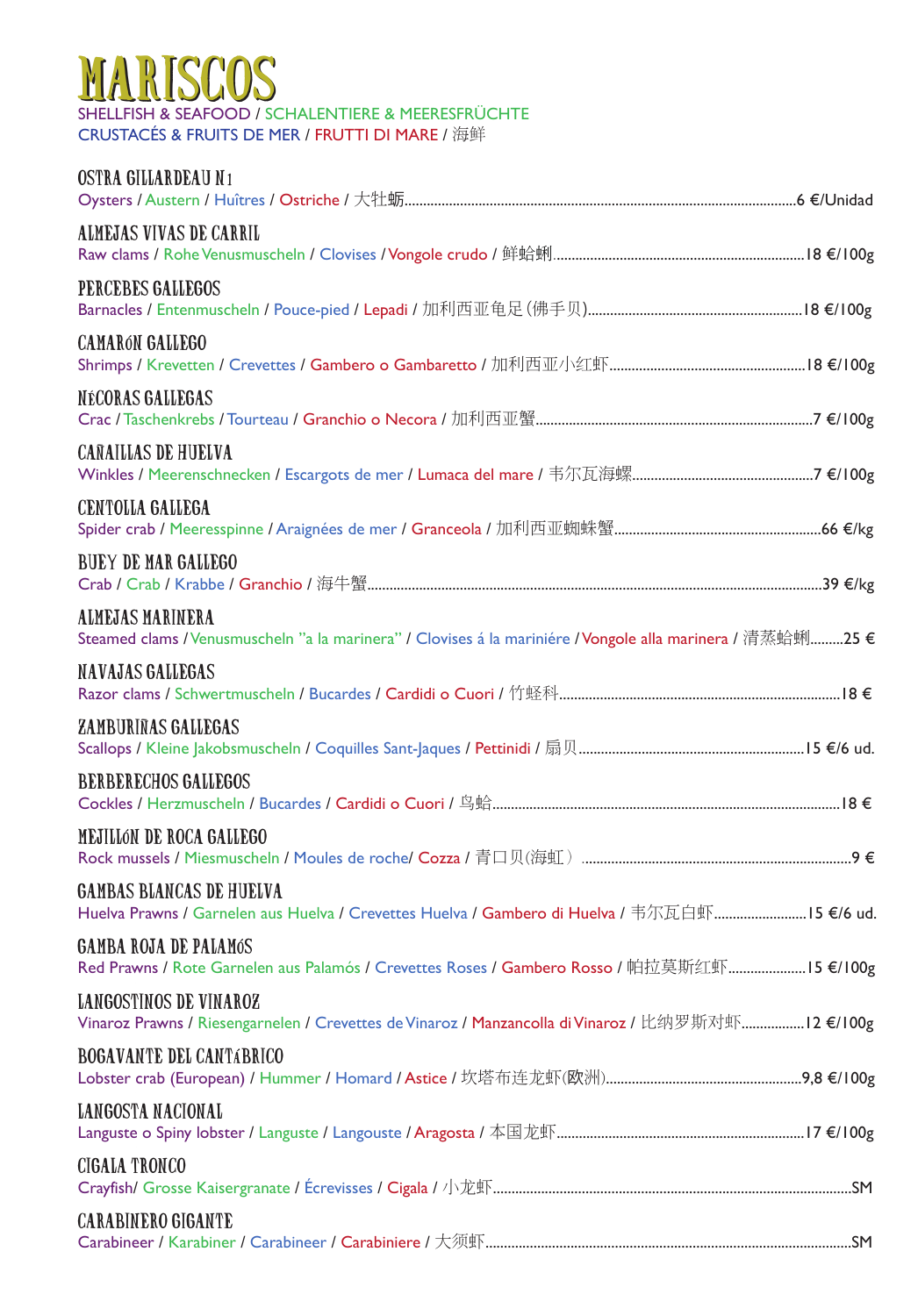## SHELLFISH & SEAFOOD / SCHALENTIERE & MEERESFRÜCHTE MARISCOS

CRUSTACÉS & FRUITS DE MER / FRUTTI DI MARE / 海鲜

| OSTRA GILLARDEAU N1                                                                                                             |  |
|---------------------------------------------------------------------------------------------------------------------------------|--|
| ALMEJAS VIVAS DE CARRIL                                                                                                         |  |
| PERCEBES GALLEGOS                                                                                                               |  |
| <b>CAMARÓN GALLEGO</b>                                                                                                          |  |
| NÉCORAS GALLEGAS                                                                                                                |  |
| <b>CAÑAILLAS DE HUELVA</b>                                                                                                      |  |
| <b>CENTOLLA GALLEGA</b>                                                                                                         |  |
| <b>BUEY DE MAR GALLEGO</b>                                                                                                      |  |
| ALMEJAS MARINERA<br>Steamed clams / Venusmuscheln "a la marinera" / Clovises á la mariniére / Vongole alla marinera / 清蒸蛤蜊25 €  |  |
| <b>NAVAJAS GALLEGAS</b>                                                                                                         |  |
| ZAMBURINAS GALLEGAS                                                                                                             |  |
| <b>BERBERECHOS GALLEGOS</b>                                                                                                     |  |
| MEJILLÓN DE ROCA GALLEGO                                                                                                        |  |
| <b>GAMBAS BLANCAS DE HUELVA</b><br>Huelva Prawns / Garnelen aus Huelva / Crevettes Huelva / Gambero di Huelva / 韦尔瓦白虾15 €/6 ud. |  |
| <b>GAMBA ROJA DE PALAMÓS</b><br>Red Prawns / Rote Garnelen aus Palamós / Crevettes Roses / Gambero Rosso / 帕拉莫斯红虾15 €/100g      |  |
| LANGOSTINOS DE VINAROZ<br>Vinaroz Prawns / Riesengarnelen / Crevettes de Vinaroz / Manzancolla di Vinaroz / 比纳罗斯对虾12 €/100g     |  |
| <b>BOGAVANTE DEL CANTABRICO</b>                                                                                                 |  |
| <b>LANGOSTA NACIONAL</b>                                                                                                        |  |
| <b>CIGALA TRONCO</b>                                                                                                            |  |
| <b>CARABINERO GIGANTE</b>                                                                                                       |  |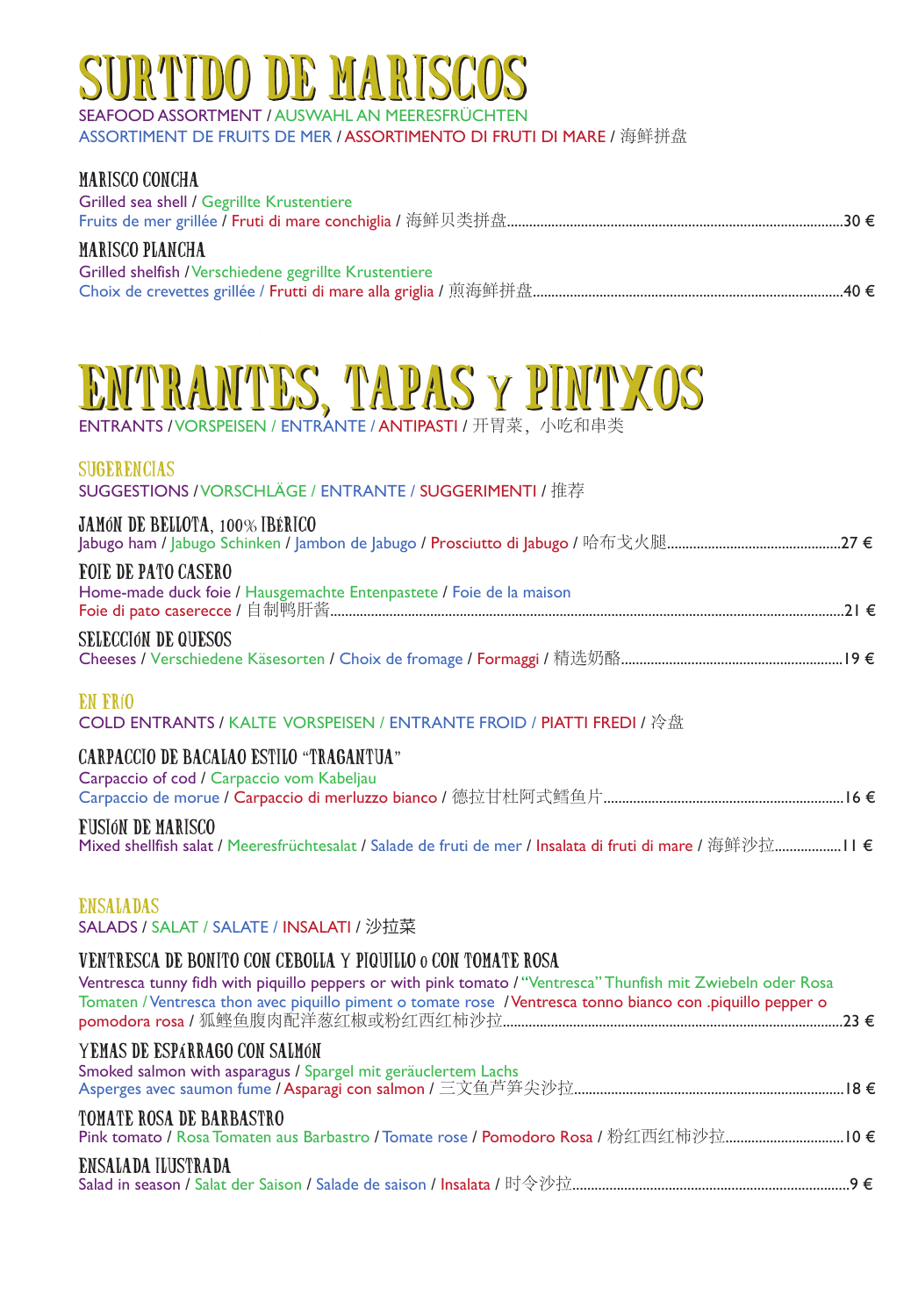# PIDO DE MARISC

SEAFOOD ASSORTMENT / AUSWAHL AN MEERESFRÜCHTEN

ASSORTIMENT DE FRUITS DE MER / ASSORTIMENTO DI FRUTI DI MARE / 海鲜拼盘

#### MARISCO CONCHA Grilled sea shell / Gegrillte Krustentiere Fruits de mer grillée / Fruti di mare conchiglia / 海鲜贝类拼盘...........................................................................................30 € MARISCO PLANCHA Grilled shelfish / Verschiedene gegrillte Krustentiere Choix de crevettes grillée / Frutti di mare alla griglia / 煎海鲜拼盘....................................................................................40 €

# ITRANTES, TAPAS Y PINTXOS

ENTRANTS / VORSPEISEN / ENTRANTE / ANTIPASTI / 开胃菜, 小吃和串类

#### SUGERENCIAS

SUGGESTIONS / VORSCHLÄGE / ENTRANTE / SUGGERIMENTI / 推荐

### JAMÓN DE BELLOTA, 100% IBÉRICO

| <b>FOIE DE PATO CASERO</b>                                          |  |
|---------------------------------------------------------------------|--|
| Home-made duck foie / Hausgemachte Entenpastete / Foie de la maison |  |
|                                                                     |  |
| CELECCIÓN DE OUECOC                                                 |  |

SELECCIÓN DE QUESOS Cheeses / Verschiedene Käsesorten / Choix de fromage / Formaggi / 精选奶酪............................................................19 €

#### EN FRÍO

COLD ENTRANTS / KALTE VORSPEISEN / ENTRANTE FROID / PIATTI FREDI / 冷盘

#### CARPACCIO DE BACALAO ESTILO "TRAGANTUA"

Carpaccio of cod / Carpaccio vom Kabeljau Carpaccio de morue / Carpaccio di merluzzo bianco / 德拉甘杜阿式鳕鱼片.................................................................16 €

#### FUSIÓN DE MARISCO

Mixed shellfish salat / Meeresfrüchtesalat / Salade de fruti de mer / Insalata di fruti di mare / 海鲜沙拉..................11 €

#### **ENSALADAS**

SALADS / SALAT / SALATE / INSALATI / 沙拉菜

#### VENTRESCA DE BONITO CON CEBOLLA Y PIQUILLO o CON TOMATE ROSA

| Ventresca tunny fidh with piquillo peppers or with pink tomato / "Ventresca" Thunfish mit Zwiebeln oder Rosa<br>Tomaten / Ventresca thon avec piquillo piment o tomate rose / Ventresca tonno bianco con .piquillo pepper o |  |
|-----------------------------------------------------------------------------------------------------------------------------------------------------------------------------------------------------------------------------|--|
| YEMAS DE ESPARRAGO CON SALMÓN<br>Smoked salmon with asparagus / Spargel mit geräuclertem Lachs                                                                                                                              |  |
| TOMATE ROSA DE BARBASTRO<br>Pink tomato / Rosa Tomaten aus Barbastro / Tomate rose / Pomodoro Rosa / 粉红西红柿沙拉10 €                                                                                                            |  |
| ENSALADA ILUSTRADA                                                                                                                                                                                                          |  |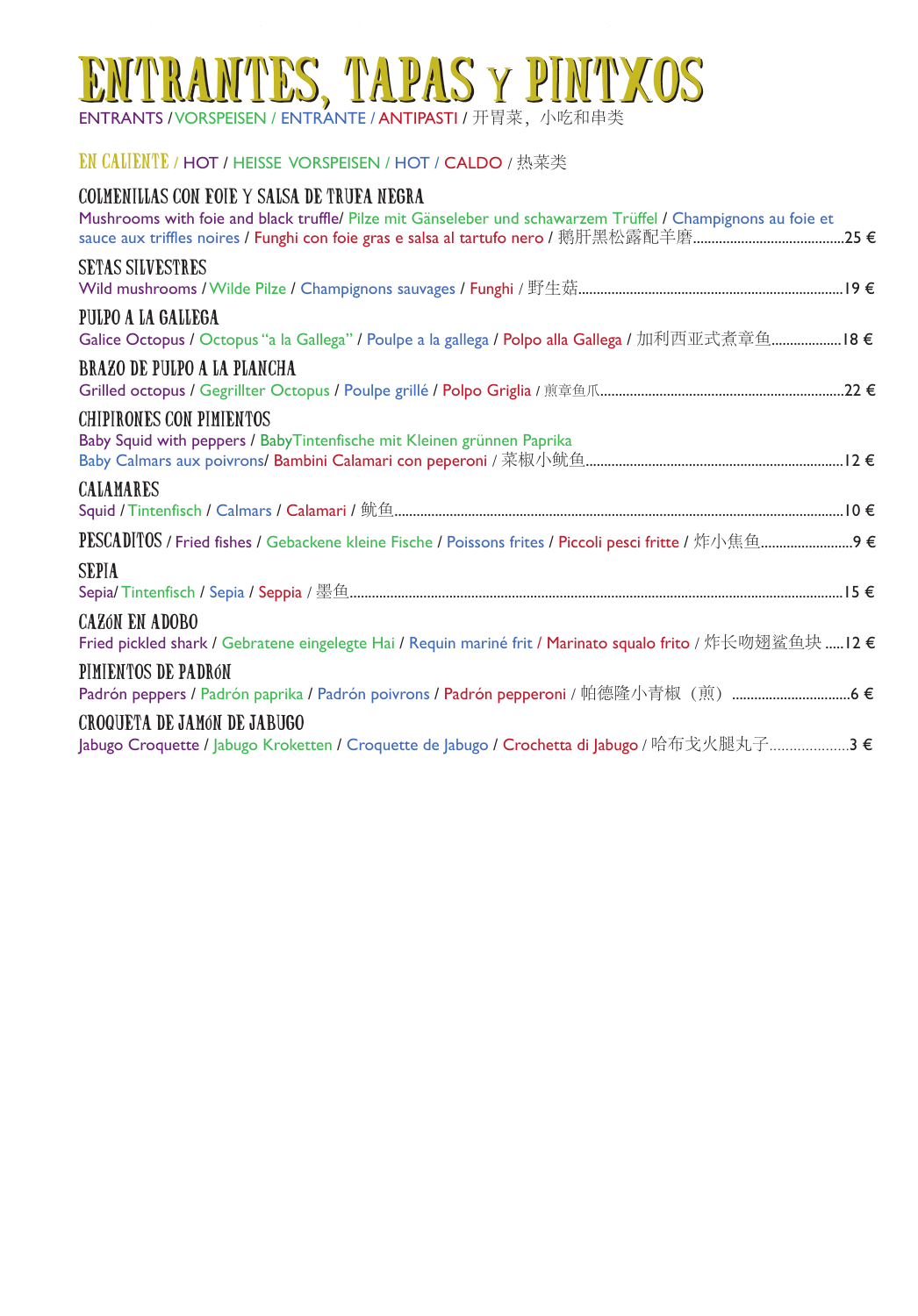# ENTRANTES, TAPAS y PINTXOS

**ENTRANTS / VORSPEISEN / ENTRANTE / ANTIPASTI /** 开胃莱,小吃和串类

#### EN CALIENTE / HOT / HEISSE VORSPEISEN / HOT / CALDO / 热菜类

| COLMENILLAS CON FOIE Y SALSA DE TRUFA NEGRA<br>Mushrooms with foie and black truffle/ Pilze mit Gänseleber und schawarzem Trüffel / Champignons au foie et<br>sauce aux triffles noires / Funghi con foie gras e salsa al tartufo nero / 鹅肝黑松露配羊磨……………………………………25 € |
|---------------------------------------------------------------------------------------------------------------------------------------------------------------------------------------------------------------------------------------------------------------------|
| SETAS SILVESTRES                                                                                                                                                                                                                                                    |
| PULPO A LA GALLEGA<br>Galice Octopus / Octopus "a la Gallega" / Poulpe a la gallega / Polpo alla Gallega / 加利西亚式煮章鱼18 €                                                                                                                                             |
| BRAZO DE PULPO A LA PLANCHA                                                                                                                                                                                                                                         |
| CHIPIRONES CON PIMIENTOS<br>Baby Squid with peppers / BabyTintenfische mit Kleinen grünnen Paprika                                                                                                                                                                  |
| CALAMARES                                                                                                                                                                                                                                                           |
|                                                                                                                                                                                                                                                                     |
| SEPIA                                                                                                                                                                                                                                                               |
| <b>CAZÓN EN ADOBO</b><br>Fried pickled shark / Gebratene eingelegte Hai / Requin mariné frit / Marinato squalo frito / 炸长吻翅鲨鱼块……12 €                                                                                                                                |
| PIMIENTOS DE PADRóN<br>Padrón peppers / Padrón paprika / Padrón poivrons / <mark>Padrón pepperoni</mark> / 帕德隆小青椒(煎)……………………………6 €                                                                                                                                  |
| CROQUETA DE JAMÓN DE JABUGO<br>Jabugo Croquette / Jabugo Kroketten / Croquette de Jabugo / Crochetta di Jabugo / 哈布戈火腿丸子………………3 €                                                                                                                                   |
|                                                                                                                                                                                                                                                                     |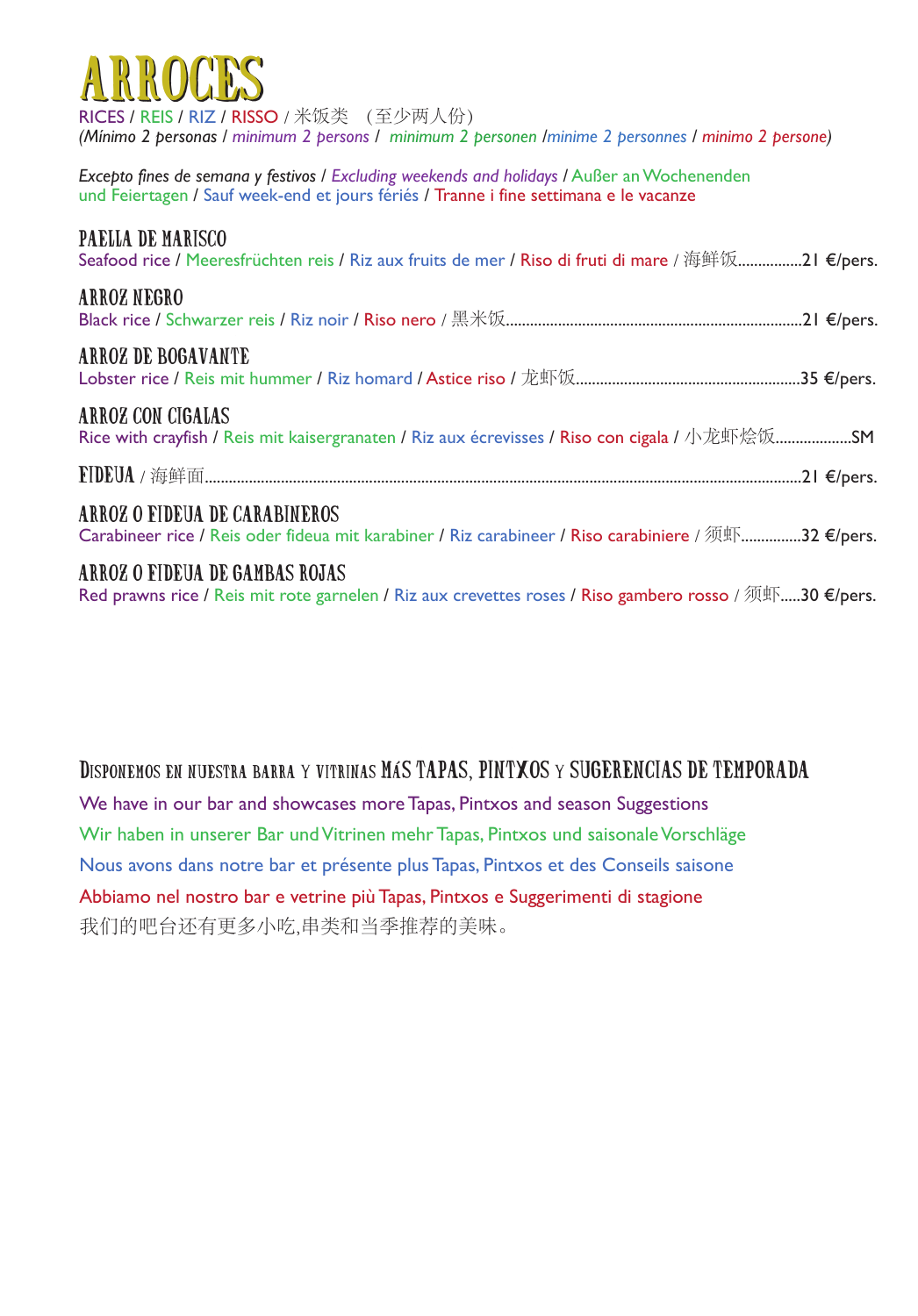| ARROCES<br>RICES / REIS / RIZ / RISSO / 米饭类 (至少两人份)<br>(Mínimo 2 personas / minimum 2 persons / minimum 2 personen /minime 2 personnes / minimo 2 persone)                           |
|--------------------------------------------------------------------------------------------------------------------------------------------------------------------------------------|
| Excepto fines de semana y festivos / Excluding weekends and holidays / Außer an Wochenenden<br>und Feiertagen / Sauf week-end et jours fériés / Tranne i fine settimana e le vacanze |
| PAELLA DE MARISCO<br>Seafood rice / Meeresfrüchten reis / Riz aux fruits de mer / Riso di fruti di mare / 海鲜饭21 €/pers.                                                              |
| ARROZ NEGRO                                                                                                                                                                          |
| ARROZ DE BOGAVANTE                                                                                                                                                                   |
| ARROZ CON CIGALAS<br>Rice with crayfish / Reis mit kaisergranaten / Riz aux écrevisses / Riso con cigala / 小龙虾烩饭SM                                                                   |
|                                                                                                                                                                                      |
| ARROZ O FIDEUA DE CARABINEROS<br>Carabineer rice / Reis oder fideua mit karabiner / Riz carabineer / Riso carabiniere / 须虾32 €/pers.                                                 |
| ARROZ O FIDEUA DE GAMBAS ROJAS<br>Red prawns rice / Reis mit rote garnelen / Riz aux crevettes roses / Riso gambero rosso / 须虾30 €/pers.                                             |

### Disponemos en nuestra barra y vitrinas MÁS TAPAS, PINTXOS y SUGERENCIAS DE TEMPORADA

We have in our bar and showcases more Tapas, Pintxos and season Suggestions Wir haben in unserer Bar und Vitrinen mehr Tapas, Pintxos und saisonale Vorschläge Nous avons dans notre bar et présente plus Tapas, Pintxos et des Conseils saisone Abbiamo nel nostro bar e vetrine più Tapas, Pintxos e Suggerimenti di stagione 我们的吧台还有更多小吃,串类和当季推荐的美味。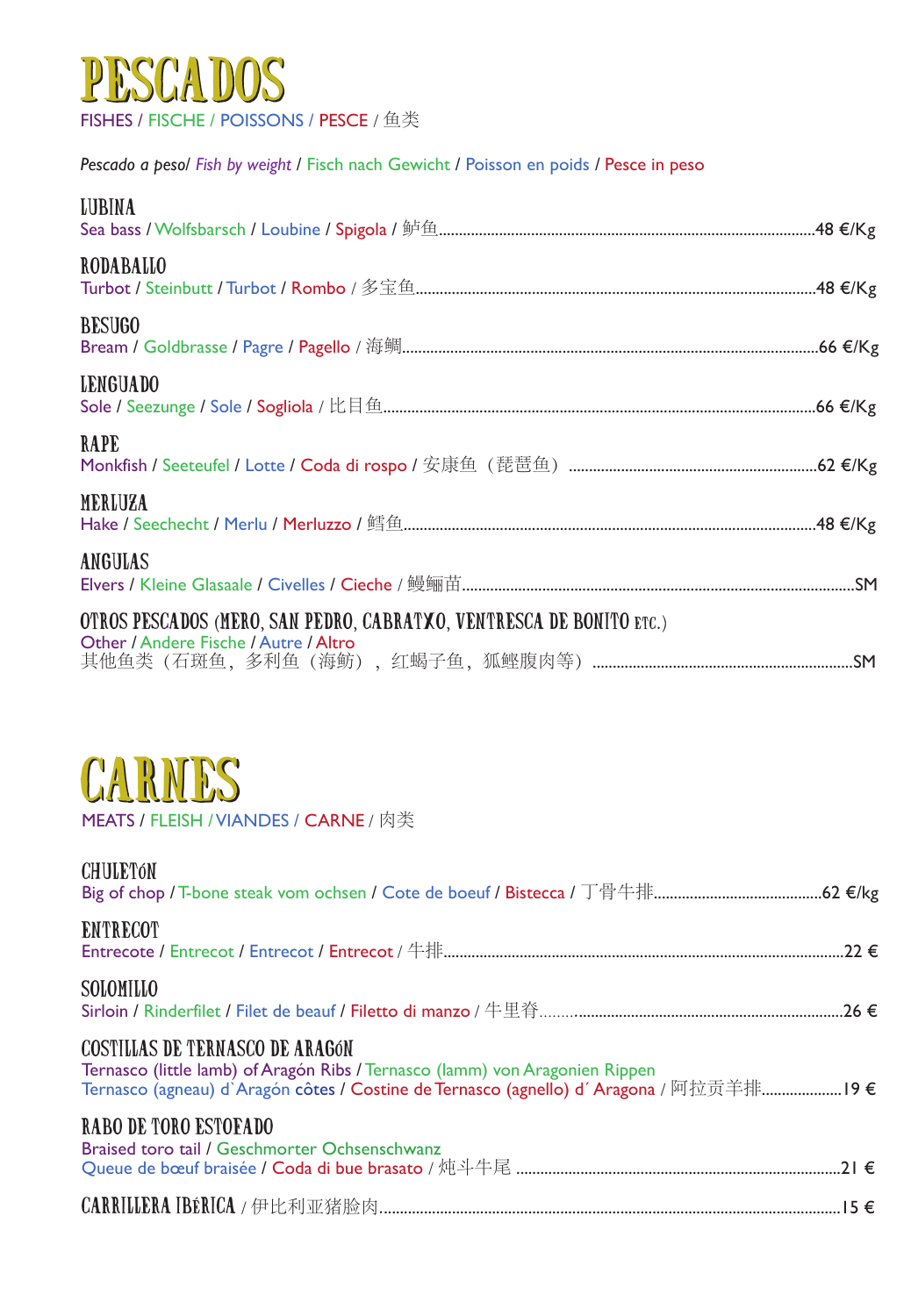

*Pescado a peso*/ *Fish by weight* / Fisch nach Gewicht / Poisson en poids */* Pesce in peso

| <b>LUBINA</b>                                                                                                 |  |
|---------------------------------------------------------------------------------------------------------------|--|
| RODABALLO                                                                                                     |  |
| <b>BESUGO</b>                                                                                                 |  |
| <b>LENGUADO</b>                                                                                               |  |
| RAPE                                                                                                          |  |
| MERLUZA                                                                                                       |  |
| <b>ANGULAS</b>                                                                                                |  |
| OTROS PESCADOS (MERO, SAN PEDRO, CABRATXO, VENTRESCA DE BONITO ETC.)<br>Other / Andere Fische / Autre / Altro |  |
|                                                                                                               |  |



MEATS / FLEISH / VIANDES / CARNE / 肉类

| <b>CHULETÓN</b>                                                                                                                                                                                                  |
|------------------------------------------------------------------------------------------------------------------------------------------------------------------------------------------------------------------|
| <b>ENTRECOT</b>                                                                                                                                                                                                  |
| SOLOMILLO                                                                                                                                                                                                        |
| <b>COSTILLAS DE TERNASCO DE ARAGÓN</b><br>Ternasco (little lamb) of Aragón Ribs / Ternasco (lamm) von Aragonien Rippen<br>Ternasco (agneau) d'Aragón côtes / Costine de Ternasco (agnello) d'Aragona / 阿拉贡羊排19 € |
| RABO DE TORO ESTOFADO<br>Braised toro tail / Geschmorter Ochsenschwanz                                                                                                                                           |
|                                                                                                                                                                                                                  |